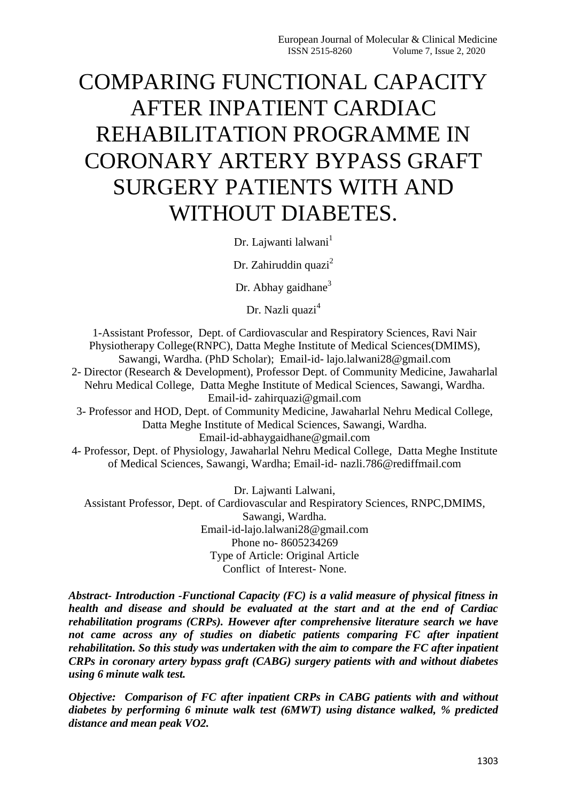# COMPARING FUNCTIONAL CAPACITY AFTER INPATIENT CARDIAC REHABILITATION PROGRAMME IN CORONARY ARTERY BYPASS GRAFT SURGERY PATIENTS WITH AND WITHOUT DIABETES.

Dr. Lajwanti lalwani<sup>1</sup>

Dr. Zahiruddin quazi $<sup>2</sup>$ </sup>

Dr. Abhay gaidhane $3$ 

Dr. Nazli quazi<sup>4</sup>

1-Assistant Professor, Dept. of Cardiovascular and Respiratory Sciences, Ravi Nair Physiotherapy College(RNPC), Datta Meghe Institute of Medical Sciences(DMIMS), Sawangi, Wardha. (PhD Scholar); Email-id- lajo.lalwani28@gmail.com 2- Director (Research & Development), Professor Dept. of Community Medicine, Jawaharlal Nehru Medical College, Datta Meghe Institute of Medical Sciences, Sawangi, Wardha. Email-id- zahirquazi@gmail.com 3- Professor and HOD, Dept. of Community Medicine, Jawaharlal Nehru Medical College, Datta Meghe Institute of Medical Sciences, Sawangi, Wardha. Email-id-abhaygaidhane@gmail.com

4- Professor, Dept. of Physiology, Jawaharlal Nehru Medical College, Datta Meghe Institute of Medical Sciences, Sawangi, Wardha; Email-id- nazli.786@rediffmail.com

Dr. Lajwanti Lalwani, Assistant Professor, Dept. of Cardiovascular and Respiratory Sciences, RNPC,DMIMS, Sawangi, Wardha. Email-id-lajo.lalwani28@gmail.com Phone no- 8605234269 Type of Article: Original Article Conflict of Interest- None.

*Abstract- Introduction -Functional Capacity (FC) is a valid measure of physical fitness in health and disease and should be evaluated at the start and at the end of Cardiac rehabilitation programs (CRPs). However after comprehensive literature search we have not came across any of studies on diabetic patients comparing FC after inpatient rehabilitation. So this study was undertaken with the aim to compare the FC after inpatient CRPs in coronary artery bypass graft (CABG) surgery patients with and without diabetes using 6 minute walk test.*

*Objective: Comparison of FC after inpatient CRPs in CABG patients with and without diabetes by performing 6 minute walk test (6MWT) using distance walked, % predicted distance and mean peak VO2.*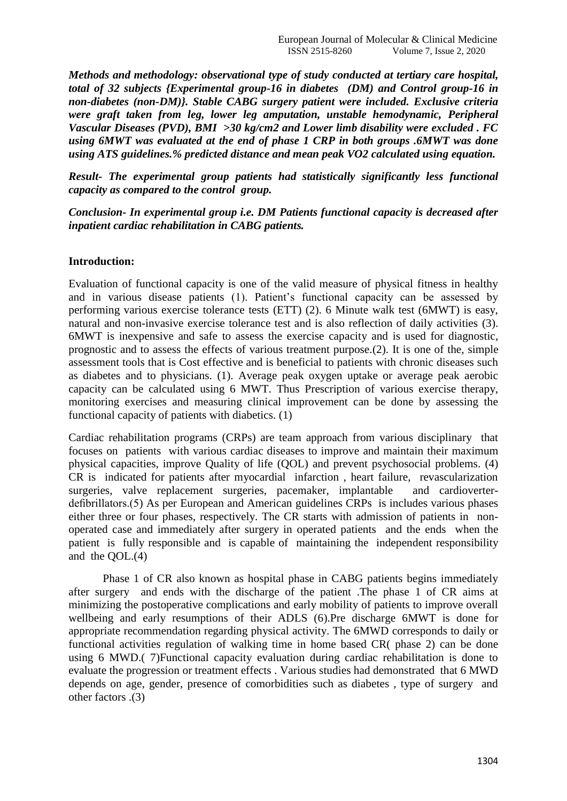*Methods and methodology: observational type of study conducted at tertiary care hospital, total of 32 subjects {Experimental group-16 in diabetes (DM) and Control group-16 in non-diabetes (non-DM)}. Stable CABG surgery patient were included. Exclusive criteria were graft taken from leg, lower leg amputation, unstable hemodynamic, Peripheral Vascular Diseases (PVD), BMI >30 kg/cm2 and Lower limb disability were excluded . FC using 6MWT was evaluated at the end of phase 1 CRP in both groups .6MWT was done using ATS guidelines.% predicted distance and mean peak VO2 calculated using equation.* 

*Result- The experimental group patients had statistically significantly less functional capacity as compared to the control group.*

*Conclusion- In experimental group i.e. DM Patients functional capacity is decreased after inpatient cardiac rehabilitation in CABG patients.*

#### **Introduction:**

Evaluation of functional capacity is one of the valid measure of physical fitness in healthy and in various disease patients (1). Patient's functional capacity can be assessed by performing various exercise tolerance tests (ETT) (2). 6 Minute walk test (6MWT) is easy, natural and non-invasive exercise tolerance test and is also reflection of daily activities (3). 6MWT is inexpensive and safe to assess the exercise capacity and is used for diagnostic, prognostic and to assess the effects of various treatment purpose.(2). It is one of the, simple assessment tools that is Cost effective and is beneficial to patients with chronic diseases such as diabetes and to physicians. (1). Average peak oxygen uptake or average peak aerobic capacity can be calculated using 6 MWT. Thus Prescription of various exercise therapy, monitoring exercises and measuring clinical improvement can be done by assessing the functional capacity of patients with diabetics. (1)

Cardiac rehabilitation programs (CRPs) are team approach from various disciplinary that focuses on patients with various cardiac diseases to improve and maintain their maximum physical capacities, improve Quality of life (QOL) and prevent psychosocial problems. (4) CR is indicated for patients after myocardial infarction , heart failure, revascularization surgeries, valve replacement surgeries, pacemaker, implantable and cardioverterdefibrillators.(5) As per European and American guidelines CRPs is includes various phases either three or four phases, respectively. The CR starts with admission of patients in nonoperated case and immediately after surgery in operated patients and the ends when the patient is fully responsible and is capable of maintaining the independent responsibility and the QOL.(4)

Phase 1 of CR also known as hospital phase in CABG patients begins immediately after surgery and ends with the discharge of the patient .The phase 1 of CR aims at minimizing the postoperative complications and early mobility of patients to improve overall wellbeing and early resumptions of their ADLS (6).Pre discharge 6MWT is done for appropriate recommendation regarding physical activity. The 6MWD corresponds to daily or functional activities regulation of walking time in home based CR( phase 2) can be done using 6 MWD.( 7)Functional capacity evaluation during cardiac rehabilitation is done to evaluate the progression or treatment effects . Various studies had demonstrated that 6 MWD depends on age, gender, presence of comorbidities such as diabetes , type of surgery and other factors .(3)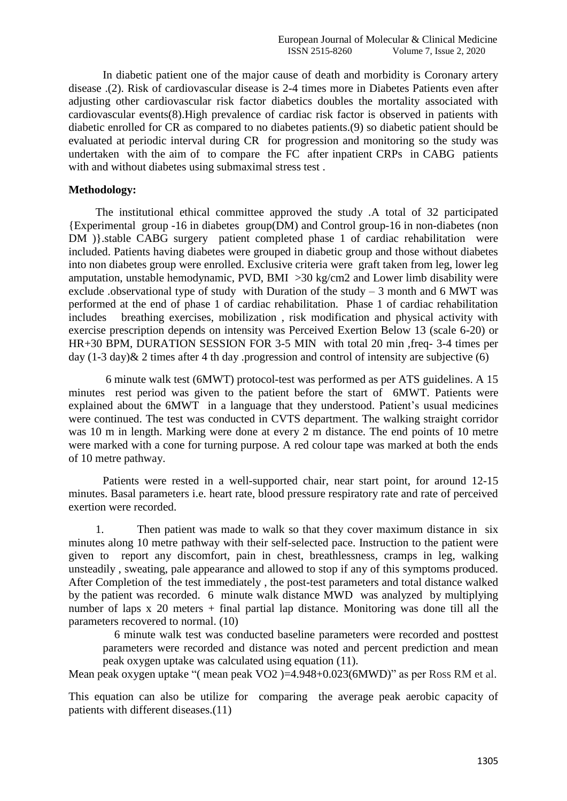In diabetic patient one of the major cause of death and morbidity is Coronary artery disease .(2). Risk of cardiovascular disease is 2-4 times more in Diabetes Patients even after adjusting other cardiovascular risk factor diabetics doubles the mortality associated with cardiovascular events(8).High prevalence of cardiac risk factor is observed in patients with diabetic enrolled for CR as compared to no diabetes patients.(9) so diabetic patient should be evaluated at periodic interval during CR for progression and monitoring so the study was undertaken with the aim of to compare the FC after inpatient CRPs in CABG patients with and without diabetes using submaximal stress test .

#### **Methodology:**

The institutional ethical committee approved the study .A total of 32 participated {Experimental group -16 in diabetes group(DM) and Control group-16 in non-diabetes (non DM )}.stable CABG surgery patient completed phase 1 of cardiac rehabilitation were included. Patients having diabetes were grouped in diabetic group and those without diabetes into non diabetes group were enrolled. Exclusive criteria were graft taken from leg, lower leg amputation, unstable hemodynamic, PVD, BMI >30 kg/cm2 and Lower limb disability were exclude .observational type of study with Duration of the study  $-3$  month and 6 MWT was performed at the end of phase 1 of cardiac rehabilitation. Phase 1 of cardiac rehabilitation includes breathing exercises, mobilization , risk modification and physical activity with exercise prescription depends on intensity was Perceived Exertion Below 13 (scale 6-20) or HR+30 BPM, DURATION SESSION FOR 3-5 MIN with total 20 min ,freq- 3-4 times per day (1-3 day)& 2 times after 4 th day .progression and control of intensity are subjective (6)

6 minute walk test (6MWT) protocol-test was performed as per ATS guidelines. A 15 minutes rest period was given to the patient before the start of 6MWT. Patients were explained about the 6MWT in a language that they understood. Patient's usual medicines were continued. The test was conducted in CVTS department. The walking straight corridor was 10 m in length. Marking were done at every 2 m distance. The end points of 10 metre were marked with a cone for turning purpose. A red colour tape was marked at both the ends of 10 metre pathway.

Patients were rested in a well-supported chair, near start point, for around 12-15 minutes. Basal parameters i.e. heart rate, blood pressure respiratory rate and rate of perceived exertion were recorded.

1. Then patient was made to walk so that they cover maximum distance in six minutes along 10 metre pathway with their self-selected pace. Instruction to the patient were given to report any discomfort, pain in chest, breathlessness, cramps in leg, walking unsteadily , sweating, pale appearance and allowed to stop if any of this symptoms produced. After Completion of the test immediately , the post-test parameters and total distance walked by the patient was recorded. 6 minute walk distance MWD was analyzed by multiplying number of laps x 20 meters + final partial lap distance. Monitoring was done till all the parameters recovered to normal. (10)

 6 minute walk test was conducted baseline parameters were recorded and posttest parameters were recorded and distance was noted and percent prediction and mean peak oxygen uptake was calculated using equation (11).

Mean peak oxygen uptake "( mean peak VO2 )=4.948+0.023(6MWD)" as per Ross RM et al.

This equation can also be utilize for comparing the average peak aerobic capacity of patients with different diseases.(11)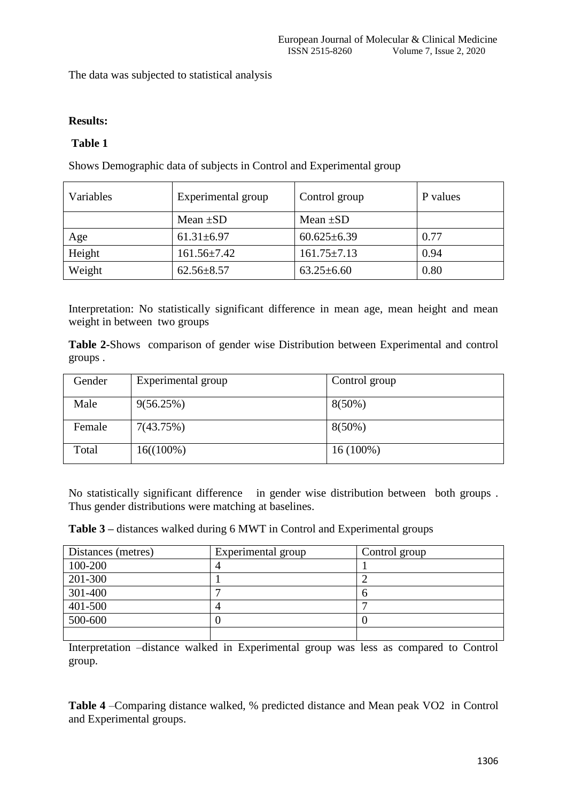The data was subjected to statistical analysis

## **Results:**

## **Table 1**

Shows Demographic data of subjects in Control and Experimental group

| Variables | Experimental group | Control group     | P values |
|-----------|--------------------|-------------------|----------|
|           | Mean $\pm SD$      | Mean $\pm SD$     |          |
| Age       | $61.31 \pm 6.97$   | $60.625 \pm 6.39$ | 0.77     |
| Height    | $161.56 \pm 7.42$  | $161.75 \pm 7.13$ | 0.94     |
| Weight    | $62.56 \pm 8.57$   | $63.25 \pm 6.60$  | 0.80     |

Interpretation: No statistically significant difference in mean age, mean height and mean weight in between two groups

**Table 2-**Shows comparison of gender wise Distribution between Experimental and control groups .

| Gender | Experimental group | Control group |
|--------|--------------------|---------------|
| Male   | 9(56.25%)          | $8(50\%)$     |
| Female | 7(43.75%)          | $8(50\%)$     |
| Total  | $16((100\%)$       | $16(100\%)$   |

No statistically significant difference in gender wise distribution between both groups . Thus gender distributions were matching at baselines.

**Table 3 –** distances walked during 6 MWT in Control and Experimental groups

| Distances (metres) | Experimental group | Control group |
|--------------------|--------------------|---------------|
| 100-200            |                    |               |
| 201-300            |                    |               |
| 301-400            |                    |               |
| 401-500            |                    |               |
| 500-600            |                    |               |
|                    |                    |               |

Interpretation –distance walked in Experimental group was less as compared to Control group.

**Table 4** –Comparing distance walked, % predicted distance and Mean peak VO2 in Control and Experimental groups.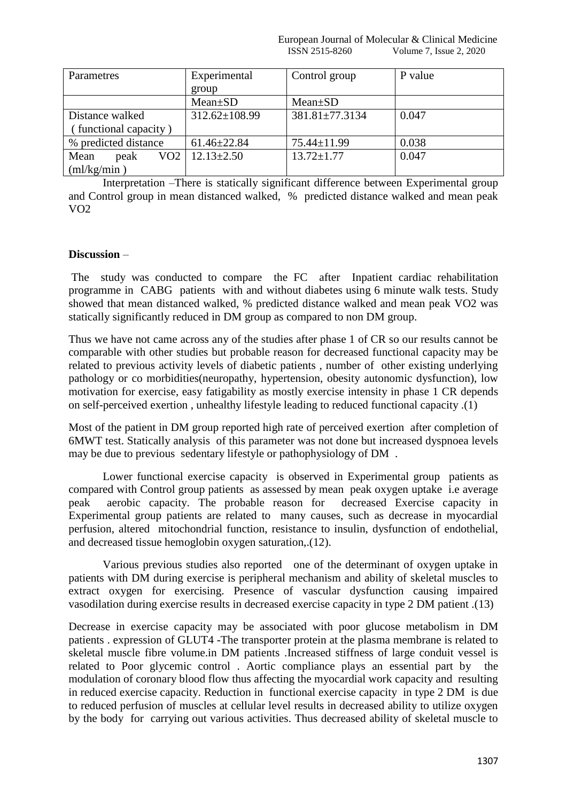| Parametres            | Experimental        | Control group    | P value |
|-----------------------|---------------------|------------------|---------|
|                       | group               |                  |         |
|                       | $Mean \pm SD$       | $Mean+SD$        |         |
| Distance walked       | $312.62 \pm 108.99$ | 381.81±77.3134   | 0.047   |
| (functional capacity) |                     |                  |         |
| % predicted distance  | $61.46 \pm 22.84$   | 75.44±11.99      | 0.038   |
| VO2<br>Mean<br>peak   | $12.13 \pm 2.50$    | $13.72 \pm 1.77$ | 0.047   |
| (ml/kg/min)           |                     |                  |         |

Interpretation –There is statically significant difference between Experimental group and Control group in mean distanced walked, % predicted distance walked and mean peak VO2

#### **Discussion** –

The study was conducted to compare the FC after Inpatient cardiac rehabilitation programme in CABG patients with and without diabetes using 6 minute walk tests. Study showed that mean distanced walked, % predicted distance walked and mean peak VO2 was statically significantly reduced in DM group as compared to non DM group.

Thus we have not came across any of the studies after phase 1 of CR so our results cannot be comparable with other studies but probable reason for decreased functional capacity may be related to previous activity levels of diabetic patients , number of other existing underlying pathology or co morbidities(neuropathy, hypertension, obesity autonomic dysfunction), low motivation for exercise, easy fatigability as mostly exercise intensity in phase 1 CR depends on self-perceived exertion , unhealthy lifestyle leading to reduced functional capacity .(1)

Most of the patient in DM group reported high rate of perceived exertion after completion of 6MWT test. Statically analysis of this parameter was not done but increased dyspnoea levels may be due to previous sedentary lifestyle or pathophysiology of DM .

Lower functional exercise capacity is observed in Experimental group patients as compared with Control group patients as assessed by mean peak oxygen uptake i.e average peak aerobic capacity. The probable reason for decreased Exercise capacity in Experimental group patients are related to many causes, such as decrease in myocardial perfusion, altered mitochondrial function, resistance to insulin, dysfunction of endothelial, and decreased tissue hemoglobin oxygen saturation,.(12).

Various previous studies also reported one of the determinant of oxygen uptake in patients with DM during exercise is peripheral mechanism and ability of skeletal muscles to extract oxygen for exercising. Presence of vascular dysfunction causing impaired vasodilation during exercise results in decreased exercise capacity in type 2 DM patient .(13)

Decrease in exercise capacity may be associated with poor glucose metabolism in DM patients . expression of GLUT4 -The transporter protein at the plasma membrane is related to skeletal muscle fibre volume.in DM patients .Increased stiffness of large conduit vessel is related to Poor glycemic control . Aortic compliance plays an essential part by the modulation of coronary blood flow thus affecting the myocardial work capacity and resulting in reduced exercise capacity. Reduction in functional exercise capacity in type 2 DM is due to reduced perfusion of muscles at cellular level results in decreased ability to utilize oxygen by the body for carrying out various activities. Thus decreased ability of skeletal muscle to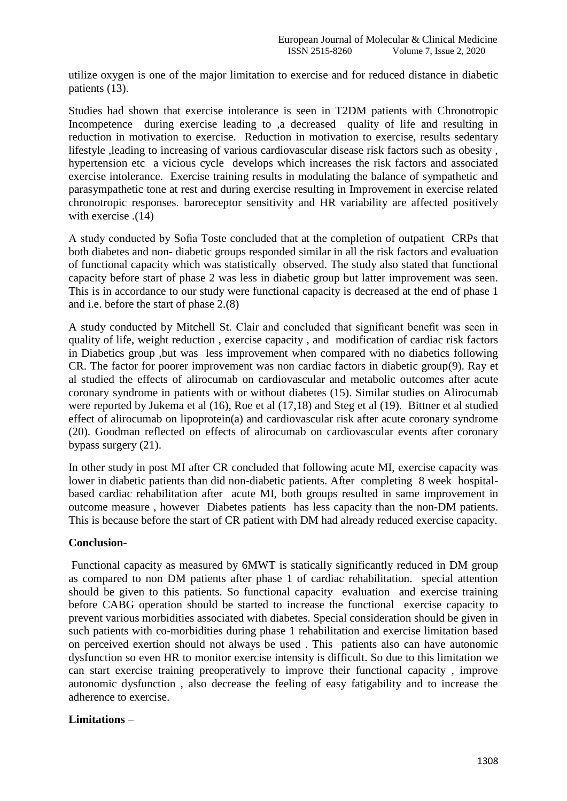utilize oxygen is one of the major limitation to exercise and for reduced distance in diabetic patients (13).

Studies had shown that exercise intolerance is seen in T2DM patients with Chronotropic Incompetence during exercise leading to ,a decreased quality of life and resulting in reduction in motivation to exercise. Reduction in motivation to exercise, results sedentary lifestyle ,leading to increasing of various cardiovascular disease risk factors such as obesity , hypertension etc a vicious cycle develops which increases the risk factors and associated exercise intolerance. Exercise training results in modulating the balance of sympathetic and parasympathetic tone at rest and during exercise resulting in Improvement in exercise related chronotropic responses. baroreceptor sensitivity and HR variability are affected positively with exercise .(14)

A study conducted by Sofia Toste concluded that at the completion of outpatient CRPs that both diabetes and non- diabetic groups responded similar in all the risk factors and evaluation of functional capacity which was statistically observed. The study also stated that functional capacity before start of phase 2 was less in diabetic group but latter improvement was seen. This is in accordance to our study were functional capacity is decreased at the end of phase 1 and i.e. before the start of phase 2.(8)

A study conducted by Mitchell St. Clair and concluded that significant benefit was seen in quality of life, weight reduction , exercise capacity , and modification of cardiac risk factors in Diabetics group ,but was less improvement when compared with no diabetics following CR. The factor for poorer improvement was non cardiac factors in diabetic group(9). Ray et al studied the effects of alirocumab on cardiovascular and metabolic outcomes after acute coronary syndrome in patients with or without diabetes (15). Similar studies on Alirocumab were reported by Jukema et al (16), Roe et al (17,18) and Steg et al (19). Bittner et al studied effect of alirocumab on lipoprotein(a) and cardiovascular risk after acute coronary syndrome (20). Goodman reflected on effects of alirocumab on cardiovascular events after coronary bypass surgery (21).

In other study in post MI after CR concluded that following acute MI, exercise capacity was lower in diabetic patients than did non-diabetic patients. After completing 8 week hospitalbased cardiac rehabilitation after acute MI, both groups resulted in same improvement in outcome measure , however Diabetes patients has less capacity than the non-DM patients. This is because before the start of CR patient with DM had already reduced exercise capacity.

## **Conclusion-**

Functional capacity as measured by 6MWT is statically significantly reduced in DM group as compared to non DM patients after phase 1 of cardiac rehabilitation. special attention should be given to this patients. So functional capacity evaluation and exercise training before CABG operation should be started to increase the functional exercise capacity to prevent various morbidities associated with diabetes. Special consideration should be given in such patients with co-morbidities during phase 1 rehabilitation and exercise limitation based on perceived exertion should not always be used . This patients also can have autonomic dysfunction so even HR to monitor exercise intensity is difficult. So due to this limitation we can start exercise training preoperatively to improve their functional capacity , improve autonomic dysfunction , also decrease the feeling of easy fatigability and to increase the adherence to exercise.

## **Limitations** –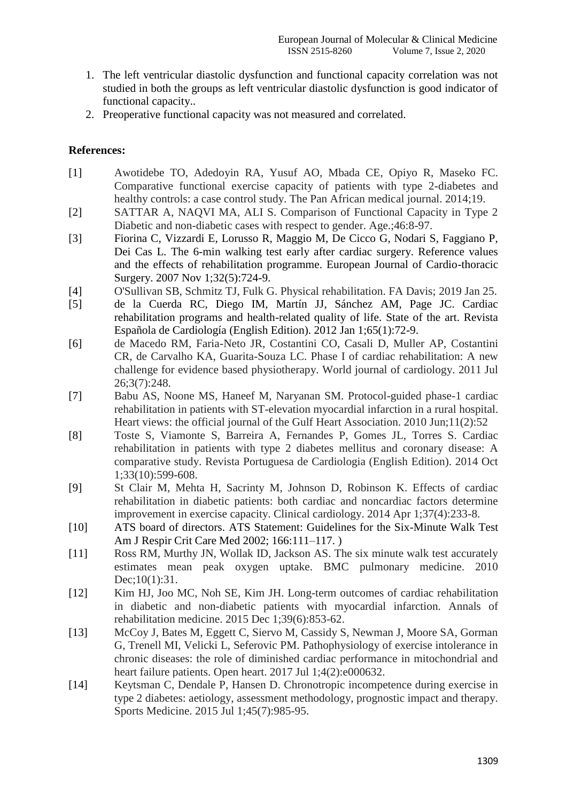- 1. The left ventricular diastolic dysfunction and functional capacity correlation was not studied in both the groups as left ventricular diastolic dysfunction is good indicator of functional capacity..
- 2. Preoperative functional capacity was not measured and correlated.

## **References:**

- [1] Awotidebe TO, Adedoyin RA, Yusuf AO, Mbada CE, Opiyo R, Maseko FC. Comparative functional exercise capacity of patients with type 2-diabetes and healthy controls: a case control study. The Pan African medical journal. 2014;19.
- [2] SATTAR A, NAQVI MA, ALI S. Comparison of Functional Capacity in Type 2 Diabetic and non-diabetic cases with respect to gender. Age.;46:8-97.
- [3] Fiorina C, Vizzardi E, Lorusso R, Maggio M, De Cicco G, Nodari S, Faggiano P, Dei Cas L. The 6-min walking test early after cardiac surgery. Reference values and the effects of rehabilitation programme. European Journal of Cardio-thoracic Surgery. 2007 Nov 1;32(5):724-9.
- [4] O'Sullivan SB, Schmitz TJ, Fulk G. Physical rehabilitation. FA Davis; 2019 Jan 25.
- [5] de la Cuerda RC, Diego IM, Martín JJ, Sánchez AM, Page JC. Cardiac rehabilitation programs and health-related quality of life. State of the art. Revista Española de Cardiología (English Edition). 2012 Jan 1;65(1):72-9.
- [6] de Macedo RM, Faria-Neto JR, Costantini CO, Casali D, Muller AP, Costantini CR, de Carvalho KA, Guarita-Souza LC. Phase I of cardiac rehabilitation: A new challenge for evidence based physiotherapy. World journal of cardiology. 2011 Jul 26;3(7):248.
- [7] Babu AS, Noone MS, Haneef M, Naryanan SM. Protocol-guided phase-1 cardiac rehabilitation in patients with ST-elevation myocardial infarction in a rural hospital. Heart views: the official journal of the Gulf Heart Association. 2010 Jun;11(2):52
- [8] Toste S, Viamonte S, Barreira A, Fernandes P, Gomes JL, Torres S. Cardiac rehabilitation in patients with type 2 diabetes mellitus and coronary disease: A comparative study. Revista Portuguesa de Cardiologia (English Edition). 2014 Oct 1;33(10):599-608.
- [9] St Clair M, Mehta H, Sacrinty M, Johnson D, Robinson K. Effects of cardiac rehabilitation in diabetic patients: both cardiac and noncardiac factors determine improvement in exercise capacity. Clinical cardiology. 2014 Apr 1;37(4):233-8.
- [10] ATS board of directors. ATS Statement: Guidelines for the Six-Minute Walk Test Am J Respir Crit Care Med 2002; 166:111–117. )
- [11] Ross RM, Murthy JN, Wollak ID, Jackson AS. The six minute walk test accurately estimates mean peak oxygen uptake. BMC pulmonary medicine. 2010 Dec;10(1):31.
- [12] Kim HJ, Joo MC, Noh SE, Kim JH. Long-term outcomes of cardiac rehabilitation in diabetic and non-diabetic patients with myocardial infarction. Annals of rehabilitation medicine. 2015 Dec 1;39(6):853-62.
- [13] McCoy J, Bates M, Eggett C, Siervo M, Cassidy S, Newman J, Moore SA, Gorman G, Trenell MI, Velicki L, Seferovic PM. Pathophysiology of exercise intolerance in chronic diseases: the role of diminished cardiac performance in mitochondrial and heart failure patients. Open heart. 2017 Jul 1;4(2):e000632.
- [14] Keytsman C, Dendale P, Hansen D. Chronotropic incompetence during exercise in type 2 diabetes: aetiology, assessment methodology, prognostic impact and therapy. Sports Medicine. 2015 Jul 1;45(7):985-95.